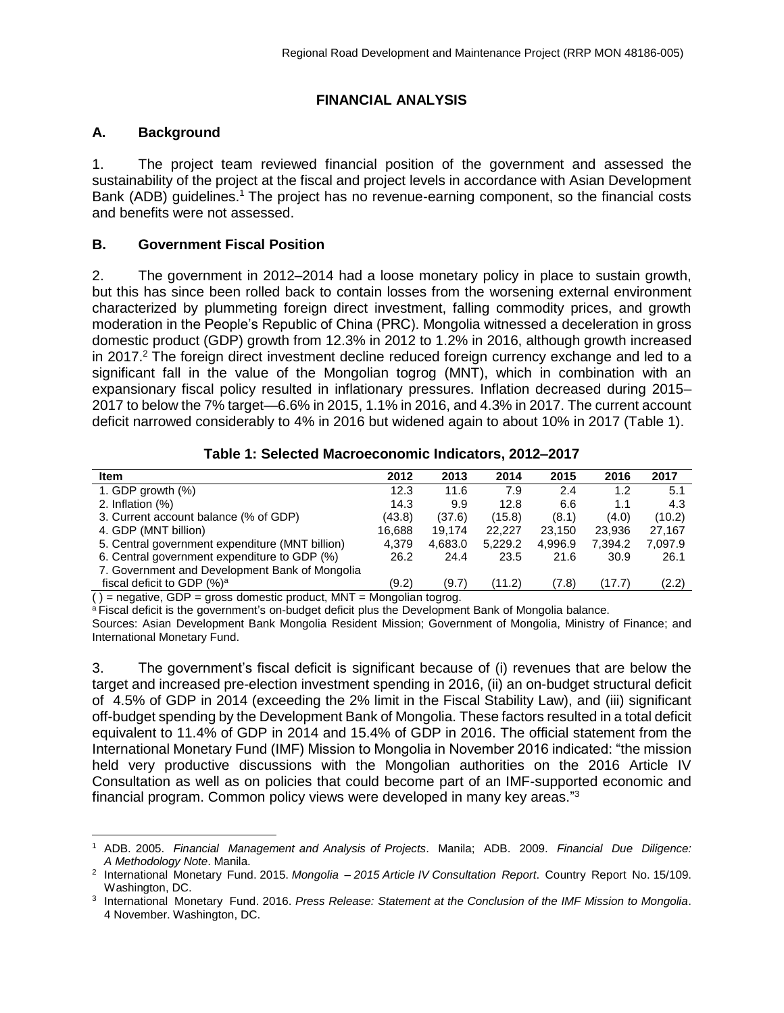# **FINANCIAL ANALYSIS**

## **A. Background**

1. The project team reviewed financial position of the government and assessed the sustainability of the project at the fiscal and project levels in accordance with Asian Development Bank (ADB) guidelines.<sup>1</sup> The project has no revenue-earning component, so the financial costs and benefits were not assessed.

#### **B. Government Fiscal Position**

2. The government in 2012–2014 had a loose monetary policy in place to sustain growth, but this has since been rolled back to contain losses from the worsening external environment characterized by plummeting foreign direct investment, falling commodity prices, and growth moderation in the People's Republic of China (PRC). Mongolia witnessed a deceleration in gross domestic product (GDP) growth from 12.3% in 2012 to 1.2% in 2016, although growth increased in 2017.<sup>2</sup> The foreign direct investment decline reduced foreign currency exchange and led to a significant fall in the value of the Mongolian togrog (MNT), which in combination with an expansionary fiscal policy resulted in inflationary pressures. Inflation decreased during 2015– 2017 to below the 7% target—6.6% in 2015, 1.1% in 2016, and 4.3% in 2017. The current account deficit narrowed considerably to 4% in 2016 but widened again to about 10% in 2017 (Table 1).

| Table 1: Selected Macroeconomic Indicators, 2012-2017 |  |
|-------------------------------------------------------|--|
|-------------------------------------------------------|--|

| <b>Item</b>                                     | 2012   | 2013    | 2014    | 2015    | 2016    | 2017    |
|-------------------------------------------------|--------|---------|---------|---------|---------|---------|
| 1. GDP growth $(\%)$                            | 12.3   | 11.6    | 7.9     | 2.4     | 1.2     | 5.1     |
| 2. Inflation $(\%)$                             | 14.3   | 9.9     | 12.8    | 6.6     | 1.1     | 4.3     |
| 3. Current account balance (% of GDP)           | (43.8) | (37.6)  | (15.8)  | (8.1)   | (4.0)   | (10.2)  |
| 4. GDP (MNT billion)                            | 16.688 | 19.174  | 22,227  | 23.150  | 23.936  | 27.167  |
| 5. Central government expenditure (MNT billion) | 4.379  | 4.683.0 | 5,229.2 | 4,996.9 | 7.394.2 | 7.097.9 |
| 6. Central government expenditure to GDP (%)    | 26.2   | 24.4    | 23.5    | 21.6    | 30.9    | 26.1    |
| 7. Government and Development Bank of Mongolia  |        |         |         |         |         |         |
| fiscal deficit to GDP (%) <sup>a</sup>          | (9.2)  | (9.7)   | (11.2)  | (7.8)   | (17.7)  | (2.2)   |

 $( )$  = negative, GDP = gross domestic product, MNT = Mongolian togrog.

a Fiscal deficit is the government's on-budget deficit plus the Development Bank of Mongolia balance.

Sources: Asian Development Bank Mongolia Resident Mission; Government of Mongolia, Ministry of Finance; and International Monetary Fund.

3. The government's fiscal deficit is significant because of (i) revenues that are below the target and increased pre-election investment spending in 2016, (ii) an on-budget structural deficit of 4.5% of GDP in 2014 (exceeding the 2% limit in the Fiscal Stability Law), and (iii) significant off-budget spending by the Development Bank of Mongolia. These factors resulted in a total deficit equivalent to 11.4% of GDP in 2014 and 15.4% of GDP in 2016. The official statement from the International Monetary Fund (IMF) Mission to Mongolia in November 2016 indicated: "the mission held very productive discussions with the Mongolian authorities on the 2016 Article IV Consultation as well as on policies that could become part of an IMF-supported economic and financial program. Common policy views were developed in many key areas."<sup>3</sup>

<sup>1</sup> ADB. 2005. *Financial Management and Analysis of Projects*. Manila; ADB. 2009. *Financial Due Diligence: A Methodology Note*. Manila.

<sup>2</sup> International Monetary Fund. 2015. *Mongolia – 2015 Article IV Consultation Report*. Country Report No. 15/109. Washington, DC.

<sup>3</sup> International Monetary Fund. 2016. *Press Release: Statement at the Conclusion of the IMF Mission to Mongolia*. 4 November. Washington, DC.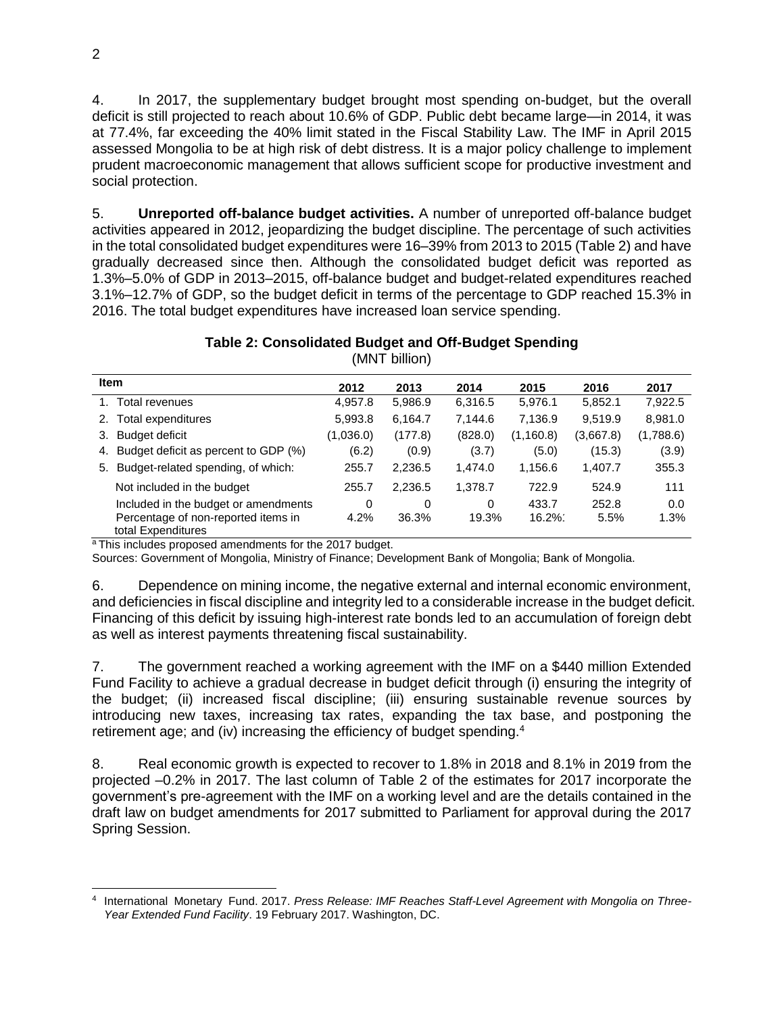4. In 2017, the supplementary budget brought most spending on-budget, but the overall deficit is still projected to reach about 10.6% of GDP. Public debt became large—in 2014, it was at 77.4%, far exceeding the 40% limit stated in the Fiscal Stability Law. The IMF in April 2015 assessed Mongolia to be at high risk of debt distress. It is a major policy challenge to implement prudent macroeconomic management that allows sufficient scope for productive investment and social protection.

5. **Unreported off-balance budget activities.** A number of unreported off-balance budget activities appeared in 2012, jeopardizing the budget discipline. The percentage of such activities in the total consolidated budget expenditures were 16–39% from 2013 to 2015 [\(Table 2\)](#page-1-0) and have gradually decreased since then. Although the consolidated budget deficit was reported as 1.3%–5.0% of GDP in 2013–2015, off-balance budget and budget-related expenditures reached 3.1%–12.7% of GDP, so the budget deficit in terms of the percentage to GDP reached 15.3% in 2016. The total budget expenditures have increased loan service spending.

# **Table 2: Consolidated Budget and Off-Budget Spending**

<span id="page-1-0"></span>

| <b>Item</b>                                               | 2012      | 2013     | 2014    | 2015       | 2016      | 2017      |
|-----------------------------------------------------------|-----------|----------|---------|------------|-----------|-----------|
| Total revenues                                            | 4,957.8   | 5,986.9  | 6,316.5 | 5,976.1    | 5,852.1   | 7,922.5   |
| Total expenditures<br>2.                                  | 5,993.8   | 6,164.7  | 7.144.6 | 7,136.9    | 9,519.9   | 8,981.0   |
| <b>Budget deficit</b><br>З.                               | (1,036.0) | (177.8)  | (828.0) | (1, 160.8) | (3,667.8) | (1,788.6) |
| Budget deficit as percent to GDP (%)<br>4.                | (6.2)     | (0.9)    | (3.7)   | (5.0)      | (15.3)    | (3.9)     |
| Budget-related spending, of which:<br>5.                  | 255.7     | 2,236.5  | 1.474.0 | 1,156.6    | 1,407.7   | 355.3     |
| Not included in the budget                                | 255.7     | 2,236.5  | 1,378.7 | 722.9      | 524.9     | 111       |
| Included in the budget or amendments                      | 0         | $\Omega$ | 0       | 433.7      | 252.8     | 0.0       |
| Percentage of non-reported items in<br>total Expenditures | 4.2%      | 36.3%    | 19.3%   | $16.2\%$   | 5.5%      | 1.3%      |

(MNT billion)

<sup>a</sup>This includes proposed amendments for the 2017 budget.

Sources: Government of Mongolia, Ministry of Finance; Development Bank of Mongolia; Bank of Mongolia.

6. Dependence on mining income, the negative external and internal economic environment, and deficiencies in fiscal discipline and integrity led to a considerable increase in the budget deficit. Financing of this deficit by issuing high-interest rate bonds led to an accumulation of foreign debt as well as interest payments threatening fiscal sustainability.

7. The government reached a working agreement with the IMF on a \$440 million Extended Fund Facility to achieve a gradual decrease in budget deficit through (i) ensuring the integrity of the budget; (ii) increased fiscal discipline; (iii) ensuring sustainable revenue sources by introducing new taxes, increasing tax rates, expanding the tax base, and postponing the retirement age; and (iv) increasing the efficiency of budget spending.<sup>4</sup>

8. Real economic growth is expected to recover to 1.8% in 2018 and 8.1% in 2019 from the projected –0.2% in 2017. The last column of Table 2 of the estimates for 2017 incorporate the government's pre-agreement with the IMF on a working level and are the details contained in the draft law on budget amendments for 2017 submitted to Parliament for approval during the 2017 Spring Session.

 $\overline{a}$ 4 International Monetary Fund. 2017. *Press Release: IMF Reaches Staff-Level Agreement with Mongolia on Three-Year Extended Fund Facility*. 19 February 2017. Washington, DC.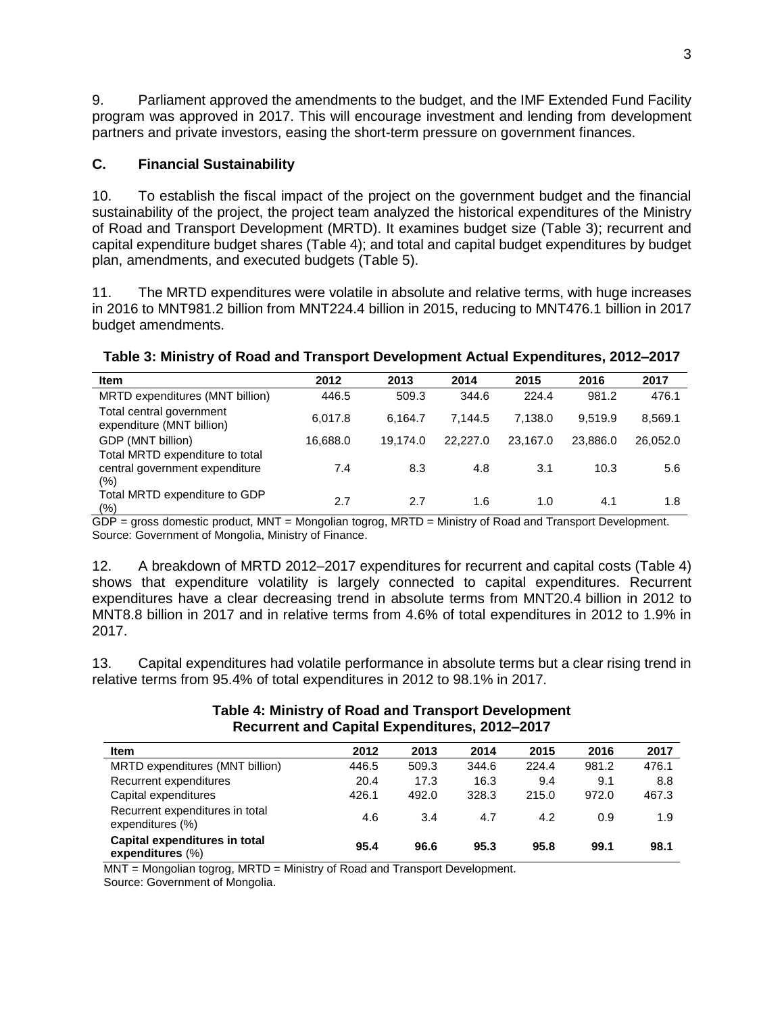9. Parliament approved the amendments to the budget, and the IMF Extended Fund Facility program was approved in 2017. This will encourage investment and lending from development partners and private investors, easing the short-term pressure on government finances.

# **C. Financial Sustainability**

10. To establish the fiscal impact of the project on the government budget and the financial sustainability of the project, the project team analyzed the historical expenditures of the Ministry of Road and Transport Development (MRTD). It examines budget size (Table 3); recurrent and capital expenditure budget shares (Table 4); and total and capital budget expenditures by budget plan, amendments, and executed budgets (Table 5).

11. The MRTD expenditures were volatile in absolute and relative terms, with huge increases in 2016 to MNT981.2 billion from MNT224.4 billion in 2015, reducing to MNT476.1 billion in 2017 budget amendments.

| <b>Item</b>                                                              | 2012     | 2013     | 2014     | 2015     | 2016     | 2017     |
|--------------------------------------------------------------------------|----------|----------|----------|----------|----------|----------|
| MRTD expenditures (MNT billion)                                          | 446.5    | 509.3    | 344.6    | 224.4    | 981.2    | 476.1    |
| Total central government<br>expenditure (MNT billion)                    | 6,017.8  | 6.164.7  | 7.144.5  | 7.138.0  | 9.519.9  | 8,569.1  |
| GDP (MNT billion)                                                        | 16.688.0 | 19.174.0 | 22,227.0 | 23.167.0 | 23.886.0 | 26,052.0 |
| Total MRTD expenditure to total<br>central government expenditure<br>(%) | 7.4      | 8.3      | 4.8      | 3.1      | 10.3     | 5.6      |
| Total MRTD expenditure to GDP<br>(%)                                     | 2.7      | 2.7      | 1.6      | 1.0      | 4.1      | 1.8      |

### **Table 3: Ministry of Road and Transport Development Actual Expenditures, 2012–2017**

GDP = gross domestic product, MNT = Mongolian togrog, MRTD = Ministry of Road and Transport Development. Source: Government of Mongolia, Ministry of Finance.

12. A breakdown of MRTD 2012–2017 expenditures for recurrent and capital costs (Table 4) shows that expenditure volatility is largely connected to capital expenditures. Recurrent expenditures have a clear decreasing trend in absolute terms from MNT20.4 billion in 2012 to MNT8.8 billion in 2017 and in relative terms from 4.6% of total expenditures in 2012 to 1.9% in 2017.

13. Capital expenditures had volatile performance in absolute terms but a clear rising trend in relative terms from 95.4% of total expenditures in 2012 to 98.1% in 2017.

| <b>Item</b>                                          | 2012  | 2013  | 2014  | 2015  | 2016  | 2017  |
|------------------------------------------------------|-------|-------|-------|-------|-------|-------|
| MRTD expenditures (MNT billion)                      | 446.5 | 509.3 | 344.6 | 224.4 | 981.2 | 476.1 |
| Recurrent expenditures                               | 20.4  | 17.3  | 16.3  | 9.4   | 9.1   | 8.8   |
| Capital expenditures                                 | 426.1 | 492.0 | 328.3 | 215.0 | 972.0 | 467.3 |
| Recurrent expenditures in total<br>expenditures (%)  | 4.6   | 3.4   | 4.7   | 4.2   | 0.9   | 1.9   |
| Capital expenditures in total<br>expenditures $(\%)$ | 95.4  | 96.6  | 95.3  | 95.8  | 99.1  | 98.1  |

#### **Table 4: Ministry of Road and Transport Development Recurrent and Capital Expenditures, 2012–2017**

MNT = Mongolian togrog, MRTD = Ministry of Road and Transport Development.

Source: Government of Mongolia.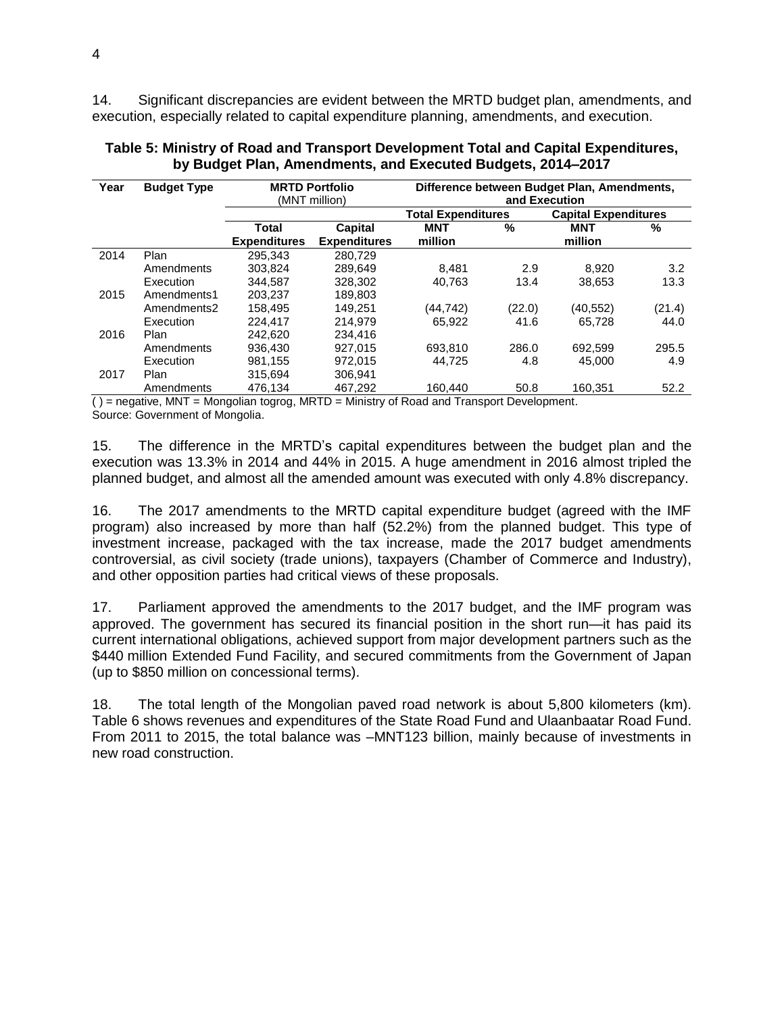14. Significant discrepancies are evident between the MRTD budget plan, amendments, and execution, especially related to capital expenditure planning, amendments, and execution.

| Year | <b>Budget Type</b> |                     | <b>MRTD Portfolio</b><br>(MNT million) | Difference between Budget Plan, Amendments,<br>and Execution |        |          |        |                             |  |
|------|--------------------|---------------------|----------------------------------------|--------------------------------------------------------------|--------|----------|--------|-----------------------------|--|
|      |                    |                     |                                        | <b>Total Expenditures</b>                                    |        |          |        | <b>Capital Expenditures</b> |  |
|      |                    | Total               | <b>Capital</b>                         | MNT                                                          | %      | MNT      | %      |                             |  |
|      |                    | <b>Expenditures</b> | <b>Expenditures</b>                    | million                                                      |        | million  |        |                             |  |
| 2014 | Plan               | 295.343             | 280.729                                |                                                              |        |          |        |                             |  |
|      | Amendments         | 303,824             | 289,649                                | 8.481                                                        | 2.9    | 8.920    | 3.2    |                             |  |
|      | Execution          | 344.587             | 328,302                                | 40.763                                                       | 13.4   | 38.653   | 13.3   |                             |  |
| 2015 | Amendments1        | 203.237             | 189,803                                |                                                              |        |          |        |                             |  |
|      | Amendments2        | 158,495             | 149.251                                | (44,742)                                                     | (22.0) | (40,552) | (21.4) |                             |  |
|      | Execution          | 224.417             | 214.979                                | 65.922                                                       | 41.6   | 65.728   | 44.0   |                             |  |
| 2016 | Plan               | 242.620             | 234.416                                |                                                              |        |          |        |                             |  |
|      | Amendments         | 936.430             | 927.015                                | 693.810                                                      | 286.0  | 692.599  | 295.5  |                             |  |
|      | Execution          | 981,155             | 972.015                                | 44.725                                                       | 4.8    | 45,000   | 4.9    |                             |  |
| 2017 | Plan               | 315.694             | 306,941                                |                                                              |        |          |        |                             |  |
|      | Amendments         | 476.134             | 467.292                                | 160.440                                                      | 50.8   | 160.351  | 52.2   |                             |  |

#### **Table 5: Ministry of Road and Transport Development Total and Capital Expenditures, by Budget Plan, Amendments, and Executed Budgets, 2014–2017**

 $( )$  = negative, MNT = Mongolian togrog, MRTD = Ministry of Road and Transport Development. Source: Government of Mongolia.

15. The difference in the MRTD's capital expenditures between the budget plan and the execution was 13.3% in 2014 and 44% in 2015. A huge amendment in 2016 almost tripled the planned budget, and almost all the amended amount was executed with only 4.8% discrepancy.

16. The 2017 amendments to the MRTD capital expenditure budget (agreed with the IMF program) also increased by more than half (52.2%) from the planned budget. This type of investment increase, packaged with the tax increase, made the 2017 budget amendments controversial, as civil society (trade unions), taxpayers (Chamber of Commerce and Industry), and other opposition parties had critical views of these proposals.

17. Parliament approved the amendments to the 2017 budget, and the IMF program was approved. The government has secured its financial position in the short run—it has paid its current international obligations, achieved support from major development partners such as the \$440 million Extended Fund Facility, and secured commitments from the Government of Japan (up to \$850 million on concessional terms).

18. The total length of the Mongolian paved road network is about 5,800 kilometers (km). Table 6 shows revenues and expenditures of the State Road Fund and Ulaanbaatar Road Fund. From 2011 to 2015, the total balance was –MNT123 billion, mainly because of investments in new road construction.